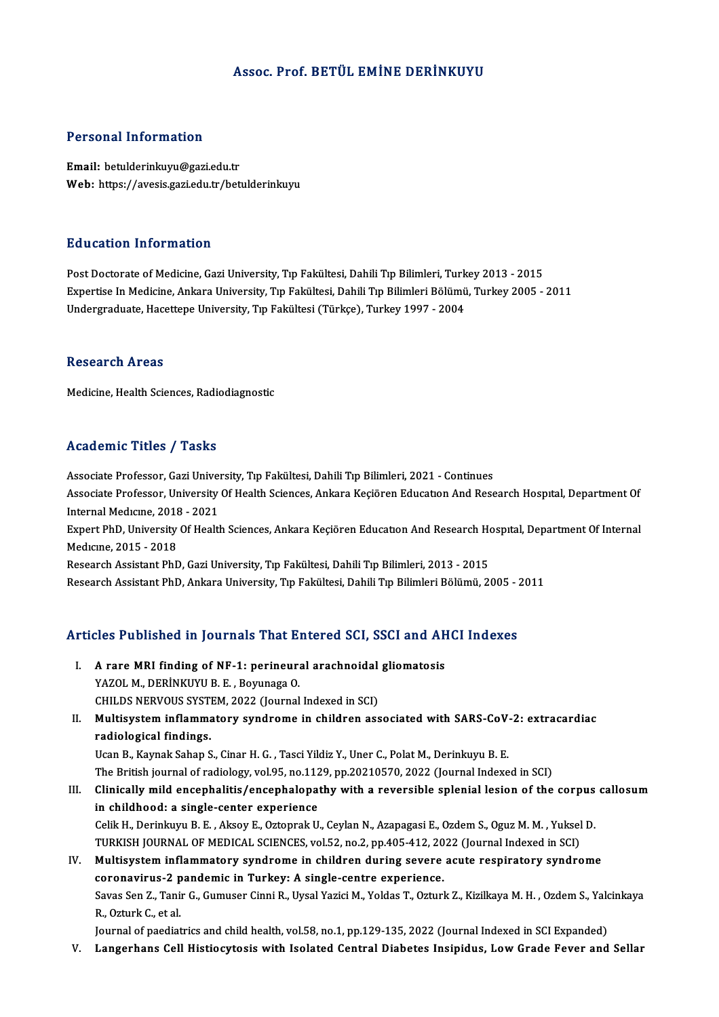### Assoc. Prof. BETÜL EMİNE DERİNKUYU

### Personal Information

Email: betulderinkuyu@gazi.edu.tr Web: https://avesis.gazi.edu.tr/betulderinkuyu

### Education Information

Post Doctorate of Medicine, Gazi University, Tıp Fakültesi, Dahili Tıp Bilimleri, Turkey 2013 - 2015 Expertise In Medicine, Ankara University, Tıp Fakültesi, Dahili Tıp Bilimleri Bölümü, Turkey 2005 - 2011 Undergraduate, Hacettepe University, Tıp Fakültesi (Türkçe), Turkey 1997 - 2004

### **Research Areas**

Medicine, Health Sciences, Radiodiagnostic

### Academic Titles / Tasks

Associate Professor, Gazi University, Tıp Fakültesi, Dahili Tıp Bilimleri, 2021 - Continues Associate Professor, Gazi University, Tıp Fakültesi, Dahili Tıp Bilimleri, 2021 - Continues<br>Associate Professor, Gazi University, Tıp Fakültesi, Dahili Tıp Bilimleri, 2021 - Continues<br>Internal Modigues, 2018, ...2021 Associate Professor, Gazi Univer<br>Associate Professor, University<br>Internal Medicine, 2018 - 2021<br>Evnert PhD, University Of Health Associate Professor, University Of Health Sciences, Ankara Keçiören Education And Research Hospital, Department Of<br>Internal Medicine, 2018 - 2021<br>Expert PhD, University Of Health Sciences, Ankara Keçiören Education And Res Internal Medicine, 2018<br>Expert PhD, University<br>Medicine, 2015 - 2018<br>Besearsh Assistant PhF Expert PhD, University Of Health Sciences, Ankara Keçiören Education And Research How<br>Medicine, 2015 - 2018<br>Research Assistant PhD, Gazi University, Tıp Fakültesi, Dahili Tıp Bilimleri, 2013 - 2015<br>Research Assistant PhD, Medıcıne, 2015 - 2018<br>Research Assistant PhD, Gazi University, Tıp Fakültesi, Dahili Tıp Bilimleri, 2013 - 2015<br>Research Assistant PhD, Ankara University, Tıp Fakültesi, Dahili Tıp Bilimleri Bölümü, 2005 - 2011

# kesearch Assistant PhD, Ankara University, Tip Fakuttest, Danii Tip Bilimieri Bolumu, 2005 - .<br>Articles Published in Journals That Entered SCI, SSCI and AHCI Indexes

- rticles Published in Journals That Entered SCI, SSCI and AH<br>I. A rare MRI finding of NF-1: perineural arachnoidal gliomatosis<br>XAZOLM DERINKUVU B.E. Borungge O XCS T dishanca in journals That 2.<br>A rare MRI finding of NF-1: perineur:<br>YAZOL M., DERİNKUYU B. E. , Boyunaga O.<br>CHU DS NERVOUS SYSTEM 2022 (Journal A rare MRI finding of NF-1: perineural arachnoidal<br>YAZOL M., DERİNKUYU B. E. , Boyunaga O.<br>CHILDS NERVOUS SYSTEM, 2022 (Journal Indexed in SCI)<br>Multisystem inflammatery syndrome in shildren ass YAZOL M., DERİNKUYU B. E. , Boyunaga O.<br>CHILDS NERVOUS SYSTEM, 2022 (Journal Indexed in SCI)<br>II. Multisystem inflammatory syndrome in children associated with SARS-CoV-2: extracardiac<br>radiological findings.
- CHILDS NERVOUS SYST<br>Multisystem inflamma<br>radiological findings.<br>Hean B. Kawak Saban S Multisystem inflammatory syndrome in children associated with SARS-CoV<br>radiological findings.<br>Ucan B., Kaynak Sahap S., Cinar H. G. , Tasci Yildiz Y., Uner C., Polat M., Derinkuyu B. E.<br>The Pritish journal of radiology vol radiological findings.<br>Ucan B., Kaynak Sahap S., Cinar H. G. , Tasci Yildiz Y., Uner C., Polat M., Derinkuyu B. E.<br>The British journal of radiology, vol.95, no.1129, pp.20210570, 2022 (Journal Indexed in SCI)<br>Clinically mi

Ucan B., Kaynak Sahap S., Cinar H. G. , Tasci Yildiz Y., Uner C., Polat M., Derinkuyu B. E.<br>The British journal of radiology, vol.95, no.1129, pp.20210570, 2022 (Journal Indexed in SCI)<br>III. Clinically mild encephalitis/en The British journal of radiology, vol.95, no.112<br>Clinically mild encephalitis/encephalopa<br>in childhood: a single-center experience Clinically mild encephalitis/encephalopathy with a reversible splenial lesion of the corpus<br>in childhood: a single-center experience<br>Celik H., Derinkuyu B. E. , Aksoy E., Oztoprak U., Ceylan N., Azapagasi E., Ozdem S., Ogu in childhood: a single-center experience<br>Celik H., Derinkuyu B. E. , Aksoy E., Oztoprak U., Ceylan N., Azapagasi E., Ozdem S., Oguz M. M. , Yuksel<br>TURKISH JOURNAL OF MEDICAL SCIENCES, vol.52, no.2, pp.405-412, 2022 (Journa

Celik H., Derinkuyu B. E., Aksoy E., Oztoprak U., Ceylan N., Azapagasi E., Ozdem S., Oguz M. M., Yuksel D.<br>TURKISH JOURNAL OF MEDICAL SCIENCES, vol.52, no.2, pp.405-412, 2022 (Journal Indexed in SCI)<br>IV. Multisystem inflam TURKISH JOURNAL OF MEDICAL SCIENCES, vol.52, no.2, pp.405-412, 20<br>Multisystem inflammatory syndrome in children during severe<br>coronavirus-2 pandemic in Turkey: A single-centre experience.<br>Saves Son 7, Tanir C. Cumuser Cinn Multisystem inflammatory syndrome in children during severe acute respiratory syndrome<br>coronavirus-2 pandemic in Turkey: A single-centre experience.<br>Savas Sen Z., Tanir G., Gumuser Cinni R., Uysal Yazici M., Yoldas T., Ozt coronavirus-2 p<br>Savas Sen Z., Tani<br>R., Ozturk C., et al.<br>Journal of naodiat

Journal of paediatrics and child health, vol.58, no.1, pp.129-135, 2022 (Journal Indexed in SCI Expanded)

V. Langerhans Cell Histiocytosis with Isolated Central Diabetes Insipidus, Low Grade Fever and Sellar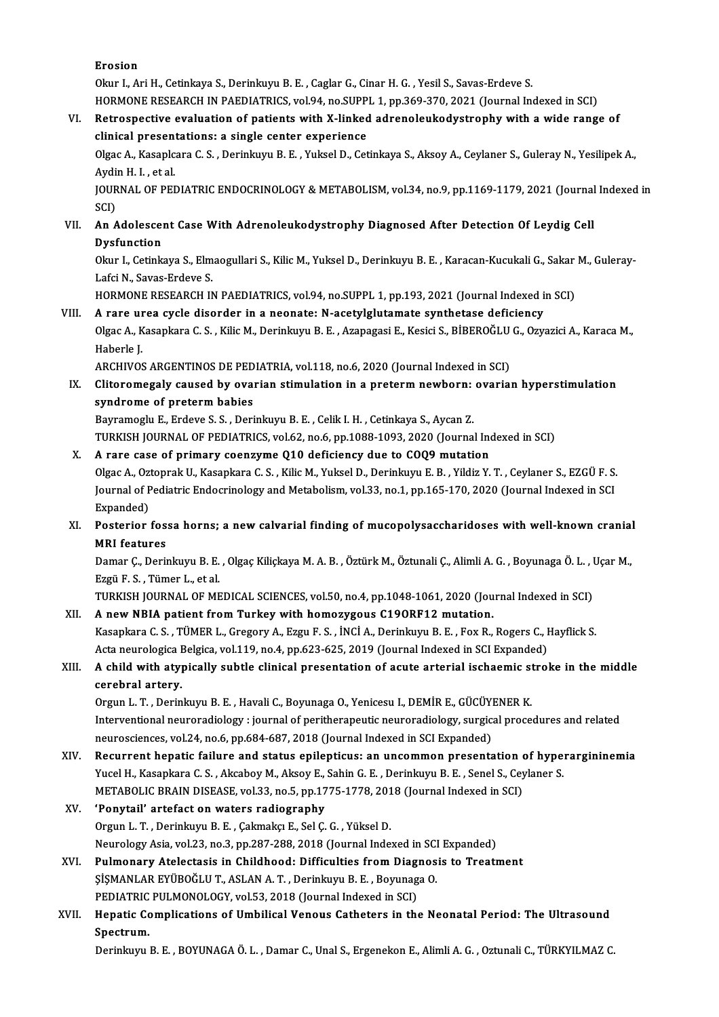Erosion

Okur I., Ari H., Cetinkaya S., Derinkuyu B. E., Caglar G., Cinar H. G., Yesil S., Savas-Erdeve S. HORMONE RESEARCH IN PAEDIATRICS, vol.94, no.SUPPL 1, pp.369-370, 2021 (Journal Indexed in SCI)

Okur I., Ari H., Cetinkaya S., Derinkuyu B. E. , Caglar G., Cinar H. G. , Yesil S., Savas-Erdeve S.<br>HORMONE RESEARCH IN PAEDIATRICS, vol.94, no.SUPPL 1, pp.369-370, 2021 (Journal Indexed in SCI)<br>VI. Retrospective evaluatio HORMONE RESEARCH IN PAEDIATRICS, vol.94, no.SUPP<br>Retrospective evaluation of patients with X-linked<br>clinical presentations: a single center experience Retrospective evaluation of patients with X-linked adrenoleukodystrophy with a wide range of<br>clinical presentations: a single center experience<br>Olgac A., Kasaplcara C. S. , Derinkuyu B. E. , Yuksel D., Cetinkaya S., Aksoy

clinical presentations: a single center experience<br>Olgac A., Kasaplcara C. S. , Derinkuyu B. E. , Yuksel D., Cetinkaya S., Aksoy A., Ceylaner S., Guleray N., Yesilipek A.,<br>Aydin H. I. , et al.<br>JOURNAL OF PEDIATRIC ENDOCRIN Olgac A., Kasaplcara C. S. , Derinkuyu B. E. , Yuksel D., Cetinkaya S., Aksoy A., Ceylaner S., Guleray N., Yesilipek A.,<br>Aydin H. I. , et al.<br>JOURNAL OF PEDIATRIC ENDOCRINOLOGY & METABOLISM, vol.34, no.9, pp.1169-1179, 202

Aydin H. I. , et al.<br>JOURNAL OF PEI<br>SCI) JOURNAL OF PEDIATRIC ENDOCRINOLOGY & METABOLISM, vol.34, no.9, pp.1169-1179, 2021 (Journa<br>SCI)<br>VII. An Adolescent Case With Adrenoleukodystrophy Diagnosed After Detection Of Leydig Cell<br>Dycfunction

# SCI)<br>An Adolescer<br>Dysfunction<br><sup>Olare L</sup> Cetials An Adolescent Case With Adrenoleukodystrophy Diagnosed After Detection Of Leydig Cell<br>Dysfunction<br>Okur I., Cetinkaya S., Elmaogullari S., Kilic M., Yuksel D., Derinkuyu B. E. , Karacan-Kucukali G., Sakar M., Guleray-<br>Lefsi

**Dysfunction**<br>Okur I., Cetinkaya S., Elmaogullari S., Kilic M., Yuksel D., Derinkuyu B. E. , Karacan-Kucukali G., Sakar M., Guleray-<br>Lafci N., Savas-Erdeve S. Okur I., Cetinkaya S., Elmaogullari S., Kilic M., Yuksel D., Derinkuyu B. E. , Karacan-Kucukali G., Sakar<br>Lafci N., Savas-Erdeve S.<br>HORMONE RESEARCH IN PAEDIATRICS, vol.94, no.SUPPL 1, pp.193, 2021 (Journal Indexed in SCI)

### Lafci N., Savas-Erdeve S.<br>HORMONE RESEARCH IN PAEDIATRICS, vol.94, no.SUPPL 1, pp.193, 2021 (Journal Indexed in<br>VIII. A rare urea cycle disorder in a neonate: N-acetylglutamate synthetase deficiency HORMONE RESEARCH IN PAEDIATRICS, vol.94, no.SUPPL 1, pp.193, 2021 (Journal Indexed in SCI)<br>A rare urea cycle disorder in a neonate: N-acetylglutamate synthetase deficiency<br>Olgac A., Kasapkara C. S. , Kilic M., Derinkuyu B. A rare urea cycle disorder in a neonate: N-acetylglutamate synthetase deficiency<br>Olgac A., Kasapkara C. S. , Kilic M., Derinkuyu B. E. , Azapagasi E., Kesici S., BİBEROĞLU G., Ozyı<br>Haberle J.<br>ARCHIVOS ARGENTINOS DE PEDIATR Olgac A., Kasapkara C. S. , Kilic M., Derinkuyu B. E. , Azapagasi E., Kesici S., BİBEROĞLU<br>Haberle J.<br>ARCHIVOS ARGENTINOS DE PEDIATRIA, vol.118, no.6, 2020 (Journal Indexed in SCI)<br>Cliteremessly seveed by everien etimulati

Haberle J.<br>ARCHIVOS ARGENTINOS DE PEDIATRIA, vol.118, no.6, 2020 (Journal Indexed in SCI)<br>IX. Clitoromegaly caused by ovarian stimulation in a preterm newborn: ovarian hyperstimulation<br>syndnome of preterm bebies. ARCHIVOS ARGENTINOS DE PED<br>Clitoromegaly caused by ovar<br>syndrome of preterm babies<br>Bayramaghy E. Endaya S. S., Dari Clitoromegaly caused by ovarian stimulation in a preterm newborn:<br>syndrome of preterm babies<br>Bayramoglu E., Erdeve S.S. , Derinkuyu B. E. , Celik I. H. , Cetinkaya S., Aycan Z.<br>TURKISH JOURNAL OF REDIATRICS vol.62 no.6 nn.

syndrome of preterm babies<br>Bayramoglu E., Erdeve S. S. , Derinkuyu B. E. , Celik I. H. , Cetinkaya S., Aycan Z.<br>TURKISH JOURNAL OF PEDIATRICS, vol.62, no.6, pp.1088-1093, 2020 (Journal Indexed in SCI)

X. A rare case of primary coenzyme Q10 deficiency due to COQ9mutation TURKISH JOURNAL OF PEDIATRICS, vol.62, no.6, pp.1088-1093, 2020 (Journal Indexed in SCI)<br>A rare case of primary coenzyme Q10 deficiency due to COQ9 mutation<br>Olgac A., Oztoprak U., Kasapkara C. S. , Kilic M., Yuksel D., Der A rare case of primary coenzyme Q10 deficiency due to COQ9 mutation<br>Olgac A., Oztoprak U., Kasapkara C. S. , Kilic M., Yuksel D., Derinkuyu E. B. , Yildiz Y. T. , Ceylaner S., EZGÜ F. S.<br>Journal of Pediatric Endocrinology Olgac A., Ozi<br>Journal of P<br>Expanded)<br>Postarior Journal of Pediatric Endocrinology and Metabolism, vol.33, no.1, pp.165-170, 2020 (Journal Indexed in SCI<br>Expanded)<br>XI. Posterior fossa horns; a new calvarial finding of mucopolysaccharidoses with well-known cranial<br>MPI fe

# Expanded)<br>Posterior fos<br>MRI features<br>Demer C. Derii Posterior fossa horns; a new calvarial finding of mucopolysaccharidoses with well-known cranial<br>MRI features<br>Damar Ç., Derinkuyu B. E. , Olgaç Kiliçkaya M. A. B. , Öztürk M., Öztunali Ç., Alimli A. G. , Boyunaga Ö. L. , Uç

**MRI features<br>Damar Ç., Derinkuyu B. E.<br>Ezgü F. S. , Tümer L., et al.<br>TURKISH JOURNAL OF ME** Damar Ç., Derinkuyu B. E. , Olgaç Kiliçkaya M. A. B. , Öztürk M., Öztunali Ç., Alimli A. G. , Boyunaga Ö. L. , I<br>Ezgü F. S. , Tümer L., et al.<br>TURKISH JOURNAL OF MEDICAL SCIENCES, vol.50, no.4, pp.1048-1061, 2020 (Journal

Ezgü F. S. , Tümer L., et al.<br>TURKISH JOURNAL OF MEDICAL SCIENCES, vol.50, no.4, pp.1048-1061, 2020 (Journal Indexed in SCI)<br>XII. A new NBIA patient from Turkey with homozygous C19ORF12 mutation. TURKISH JOURNAL OF MEDICAL SCIENCES, vol.50, no.4, pp.1048-1061, 2020 (Journal Indexed in SCI)<br>A new NBIA patient from Turkey with homozygous C190RF12 mutation.<br>Kasapkara C. S. , TÜMER L., Gregory A., Ezgu F. S. , İNCİ A., A new NBIA patient from Turkey with homozygous C190RF12 mutation.<br>Kasapkara C. S. , TÜMER L., Gregory A., Ezgu F. S. , İNCİ A., Derinkuyu B. E. , Fox R., Rogers C., I<br>Acta neurologica Belgica, vol.119, no.4, pp.623-625, 20 Kasapkara C. S. , TÜMER L., Gregory A., Ezgu F. S. , İNCİ A., Derinkuyu B. E. , Fox R., Rogers C., Hayflick S.<br>Acta neurologica Belgica, vol.119, no.4, pp.623-625, 2019 (Journal Indexed in SCI Expanded)<br>XIII. A child w

# Acta neurologica Belgica, vol.119, no.4, pp.623-625, 2019 (Journal Indexed in SCI Expanded)<br>A child with atypically subtle clinical presentation of acute arterial ischaemic stro<br>cerebral artery.<br>Orgun L. T., Derinkuyu B. E A child with atypically subtle clinical presentation of acute arterial ischaemic st<br>cerebral artery.<br>Orgun L. T. , Derinkuyu B. E. , Havali C., Boyunaga O., Yenicesu I., DEMİR E., GÜCÜYENER K.<br>Interventional neuroradiology

cerebral artery.<br>Orgun L. T. , Derinkuyu B. E. , Havali C., Boyunaga O., Yenicesu I., DEMİR E., GÜCÜYENER K.<br>Interventional neuroradiology : journal of peritherapeutic neuroradiology, surgical procedures and related<br>neuros Orgun L. T. , Derinkuyu B. E. , Havali C., Boyunaga O., Yenicesu I., DEMİR E., GÜCÜYI<br>Interventional neuroradiology : journal of peritherapeutic neuroradiology, surgic:<br>neurosciences, vol.24, no.6, pp.684-687, 2018 (Journa Interventional neuroradiology : journal of peritherapeutic neuroradiology, surgical procedures and related<br>neurosciences, vol.24, no.6, pp.684-687, 2018 (Journal Indexed in SCI Expanded)<br>XIV. Recurrent hepatic failure and

- neurosciences, vol.24, no.6, pp.684-687, 2018 (Journal Indexed in SCI Expanded)<br>Recurrent hepatic failure and status epilepticus: an uncommon presentation of hype:<br>Yucel H., Kasapkara C. S. , Akcaboy M., Aksoy E., Sahin G. Recurrent hepatic failure and status epilepticus: an uncommon presentation of Mucel H., Kasapkara C. S. , Akcaboy M., Aksoy E., Sahin G. E. , Derinkuyu B. E. , Senel S., Cey<br>METABOLIC BRAIN DISEASE, vol.33, no.5, pp.1775-1 METABOLIC BRAIN DISEASE, vol.33, no.5, pp.1775-1778, 2018 (Journal Indexed in SCI)
- XV. 'Ponytail' artefact on waters radiography Neurology Asia, vol.23, no.3, pp.287-288, 2018 (Journal Indexed in SCI Expanded)
- XVI. Pulmonary Atelectasis in Childhood: Difficulties fromDiagnosis to Treatment Neurology Asia, vol.23, no.3, pp.287-288, 2018 (Journal Indexed in SCI<br>Pulmonary Atelectasis in Childhood: Difficulties from Diagnos<br>ŞİŞMANLAR EYÜBOĞLUT, ASLAN A.T., Derinkuyu B.E., Boyunaga O.<br>PEDIATRIC PIJI MONOLOCY, vol Pulmonary Atelectasis in Childhood: Difficulties from Diag<br>\$I\$MANLAR EYÜBOĞLU T., ASLAN A. T. , Derinkuyu B. E. , Boyunag<br>PEDIATRIC PULMONOLOGY, vol.53, 2018 (Journal Indexed in SCI)<br>Hanatis Complications of Umbilical Vene PEDIATRIC PULMONOLOGY, vol.53, 2018 (Journal Indexed in SCI)
- XVII. Hepatic Complications of Umbilical Venous Catheters in the Neonatal Period: The Ultrasound<br>Spectrum.

Derinkuyu B. E., BOYUNAGA Ö. L., Damar C., Unal S., Ergenekon E., Alimli A. G., Oztunali C., TÜRKYILMAZ C.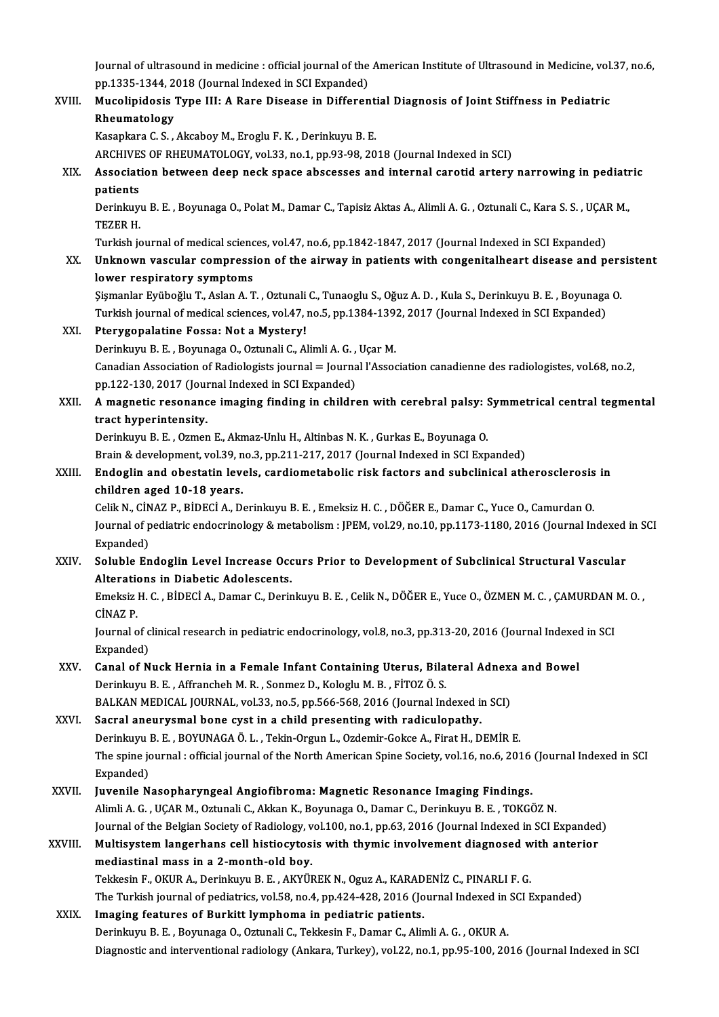Journal of ultrasound in medicine : official journal of the American Institute of Ultrasound in Medicine, vol.37, no.6,<br>nn 1335 1344, 2018 (Journal Indexed in SCI Expended) Journal of ultrasound in medicine : official journal of the<br>pp.1335-1344, 2018 (Journal Indexed in SCI Expanded)<br>Musalinidasis Tyne III: A Pare Disease in Differen Journal of ultrasound in medicine : official journal of the American Institute of Ultrasound in Medicine, vol.<br>pp.1335-1344, 2018 (Journal Indexed in SCI Expanded)<br>XVIII. Mucolipidosis Type III: A Rare Disease in Different

## pp.1335-1344, 2018 (Journal Indexed in SCI Expanded)<br>Mucolipidosis Type III: A Rare Disease in Different<br>Rheumatology<br>Kasapkara C. S., Akcaboy M., Eroglu F. K., Derinkuyu B. E. Mucolipidosis Type III: A Rare Disease in Differential Diagnosis of Joint Stiffness in Pediatric

ARCHIVES OF RHEUMATOLOGY, vol.33, no.1, pp.93-98, 2018 (Journal Indexed in SCI)

## Kasapkara C. S. , Akcaboy M., Eroglu F. K. , Derinkuyu B. E.<br>ARCHIVES OF RHEUMATOLOGY, vol.33, no.1, pp.93-98, 2018 (Journal Indexed in SCI)<br>XIX. Association between deep neck space abscesses and internal carotid arter ARCHIVE<br>Associat<br>patients<br><sup>Derinlaur</sub></sup> Association between deep neck space abscesses and internal carotid artery narrowing in pediatr<br>patients<br>Derinkuyu B. E. , Boyunaga O., Polat M., Damar C., Tapisiz Aktas A., Alimli A. G. , Oztunali C., Kara S. S. , UÇAR M.,

**patients<br>Derinkuy<br>TEZER H.<br>Turkish is** Derinkuyu B. E. , Boyunaga O., Polat M., Damar C., Tapisiz Aktas A., Alimli A. G. , Oztunali C., Kara S. S. , UÇAI<br>TEZER H.<br>Turkish journal of medical sciences, vol.47, no.6, pp.1842-1847, 2017 (Journal Indexed in SCI Expa

Turkish journal of medical sciences, vol.47, no.6, pp.1842-1847, 2017 (Journal Indexed in SCI Expanded)

# TEZER H.<br>Turkish journal of medical sciences, vol.47, no.6, pp.1842-1847, 2017 (Journal Indexed in SCI Expanded)<br>XX. Unknown vascular compression of the airway in patients with congenitalheart disease and persistent<br>lower Unknown vascular compression of the airway in patients with congenitalheart disease and pers<br>lower respiratory symptoms<br>Şişmanlar Eyüboğlu T., Aslan A. T. , Oztunali C., Tunaoglu S., Oğuz A. D. , Kula S., Derinkuyu B. E. ,

lower respiratory symptoms<br>Şişmanlar Eyüboğlu T., Aslan A. T. , Oztunali C., Tunaoglu S., Oğuz A. D. , Kula S., Derinkuyu B. E. , Boyunaga<br>Turkish journal of medical sciences, vol.47, no.5, pp.1384-1392, 2017 (Journal Inde Sişmanlar Eyüboğlu T., Aslan A. T. , Oztunali<br>Turkish journal of medical sciences, vol.47, <br>XXI. Pterygopalatine Fossa: Not a Mystery!<br>Desiplown B. E. Bournage O. Oztunali G. Al Turkish journal of medical sciences, vol.47, no.5, pp.1384-1392, 2017 (Journal Indexed in SCI Expanded)<br>Pterygopalatine Fossa: Not a Mystery!

Canadian Association of Radiologists journal = Journal l'Association canadienne des radiologistes, vol.68, no.2,<br>pp.122-130, 2017 (Journal Indexed in SCI Expanded) Derinkuyu B. E., Boyunaga O., Oztunali C., Alimli A. G., Uçar M. Canadian Association of Radiologists journal = Journal l'Association canadienne des radiologistes, vol.68, no.2,<br>pp.122-130, 2017 (Journal Indexed in SCI Expanded)<br>XXII. A magnetic resonance imaging finding in children wit

## pp.122-130, 2017 (Journal)<br>A magnetic resonance<br>tract hyperintensity.<br>Derinhum B E Ozmer A magnetic resonance imaging finding in children with cerebral palsy: !<br>tract hyperintensity.<br>Derinkuyu B.E., Ozmen E., Akmaz-Unlu H., Altinbas N. K., Gurkas E., Boyunaga O.<br>Prain & development vol 39, no 3, np 311, 317, 3 tract hyperintensity.<br>Derinkuyu B. E. , Ozmen E., Akmaz-Unlu H., Altinbas N. K. , Gurkas E., Boyunaga O.<br>Brain & development, vol.39, no.3, pp.211-217, 2017 (Journal Indexed in SCI Expanded)<br>Endoglin and obestatin levels,

### Derinkuyu B. E. , Ozmen E., Akmaz-Unlu H., Altinbas N. K. , Gurkas E., Boyunaga O.<br>Brain & development, vol.39, no.3, pp.211-217, 2017 (Journal Indexed in SCI Expanded)<br>XXIII. Endoglin and obestatin levels, cardiometabolic Brain & development, vol.39, n<br>Endoglin and obestatin leve<br>children aged 10-18 years.<br>Celik N. CINAZ B. PiDECLA, D. Endoglin and obestatin levels, cardiometabolic risk factors and subclinical atherosclerosis<br>children aged 10-18 years.<br>Celik N., CİNAZ P., BİDECİ A., Derinkuyu B. E. , Emeksiz H. C. , DÖĞER E., Damar C., Yuce O., Camurdan

Journal of pediatric endocrinology & metabolism: JPEM, vol.29, no.10, pp.1173-1180, 2016 (Journal Indexed in SCI<br>Expanded) Celik N., CİN<br>Journal of p<br>Expanded)<br>Solublo En Journal of pediatric endocrinology & metabolism : JPEM, vol.29, no.10, pp.1173-1180, 2016 (Journal Indexed<br>Expanded)<br>XXIV. Soluble Endoglin Level Increase Occurs Prior to Development of Subclinical Structural Vascular

# Expanded)<br>Soluble Endoglin Level Increase Occ<br>Alterations in Diabetic Adolescents.<br>Emeksiz H.C. BinECLA Deman C. Derit Soluble Endoglin Level Increase Occurs Prior to Development of Subclinical Structural Vascular<br>Alterations in Diabetic Adolescents.<br>Emeksiz H. C. , BİDECİ A., Damar C., Derinkuyu B. E. , Celik N., DÖĞER E., Yuce O., ÖZMEN

Alterations in Diabetic Adolescents.<br>Emeksiz H. C. , BİDECİ A., Damar C., Derinkuyu B. E. , Celik N., DÖĞER E., Yuce O., ÖZMEN M. C. , ÇAMURDAN M. O. ,<br>CİNAZ P. Emeksiz H. C. , BİDECİ A., Damar C., Derinkuyu B. E. , Celik N., DÖĞER E., Yuce O., ÖZMEN M. C. , ÇAMURDAN |<br>CİNAZ P.<br>Journal of clinical research in pediatric endocrinology, vol.8, no.3, pp.313-20, 2016 (Journal Indexed i

CINAZ P.<br>Journal of c<br>Expanded)<br>Canal of N Journal of clinical research in pediatric endocrinology, vol.8, no.3, pp.313-20, 2016 (Journal Indexed<br>Expanded)<br>XXV. Canal of Nuck Hernia in a Female Infant Containing Uterus, Bilateral Adnexa and Bowel<br>Derinkum B. E. Aff

### Expanded)<br>Canal of Nuck Hernia in a Female Infant Containing Uterus, Bila<br>Derinkuyu B.E., Affrancheh M.R., Sonmez D., Kologlu M.B., FİTOZ Ö.S.<br>BALKAN MEDICAL JOURNAL, vel 33. ne 5. np 566.569.3016 (Journal In Canal of Nuck Hernia in a Female Infant Containing Uterus, Bilateral Adnex:<br>Derinkuyu B. E. , Affrancheh M. R. , Sonmez D., Kologlu M. B. , FİTOZ Ö. S.<br>BALKAN MEDICAL JOURNAL, vol.33, no.5, pp.566-568, 2016 (Journal Indexe Derinkuyu B. E. , Affrancheh M. R. , Sonmez D., Kologlu M. B. , FİTOZ Ö. S.<br>BALKAN MEDICAL JOURNAL, vol.33, no.5, pp.566-568, 2016 (Journal Indexed in SCI)<br>XXVI. Sacral aneurysmal bone cyst in a child presenting with radic

BALKAN MEDICAL JOURNAL, vol.33, no.5, pp.566-568, 2016 (Journal Indexed in SCI)<br>Sacral aneurysmal bone cyst in a child presenting with radiculopathy.<br>Derinkuyu B. E. , BOYUNAGA Ö. L. , Tekin-Orgun L., Ozdemir-Gokce A., Fir The spine journal : official journal of the North American Spine Society, vol.16, no.6, 2016 (Journal Indexed in SCI<br>Expanded) Derinkuyu l<br>The spine jo<br>Expanded)<br>Iuvenile N The spine journal : official journal of the North American Spine Society, vol.16, no.6, 2016<br>Expanded)<br>XXVII. Juvenile Nasopharyngeal Angiofibroma: Magnetic Resonance Imaging Findings.<br>Alimli A.C., UCAB M. Ortunali C. Altk

## Expanded)<br>Juvenile Nasopharyngeal Angiofibroma: Magnetic Resonance Imaging Findings.<br>Alimli A. G., UÇAR M., Oztunali C., Akkan K., Boyunaga O., Damar C., Derinkuyu B. E. , TOKGÖZ N.<br>Journal of the Bokian Society of Bodialo Juvenile Nasopharyngeal Angiofibroma: Magnetic Resonance Imaging Findings.<br>Alimli A. G. , UÇAR M., Oztunali C., Akkan K., Boyunaga O., Damar C., Derinkuyu B. E. , TOKGÖZ N.<br>Journal of the Belgian Society of Radiology, vol. Alimli A. G. , UÇAR M., Oztunali C., Akkan K., Boyunaga O., Damar C., Derinkuyu B. E. , TOKGÖZ N.<br>Journal of the Belgian Society of Radiology, vol.100, no.1, pp.63, 2016 (Journal Indexed in SCI Expanded XXVIII. Multisystem

## Journal of the Belgian Society of Radiology, v<br>Multisystem langerhans cell histiocytos<br>mediastinal mass in a 2-month-old boy.<br>Tekkesin E. OVUP A. Derinkum B. E. Arvün Multisystem langerhans cell histiocytosis with thymic involvement diagnosed w<br>mediastinal mass in a 2-month-old boy.<br>Tekkesin F., OKUR A., Derinkuyu B. E. , AKYÜREK N., Oguz A., KARADENİZ C., PINARLI F. G.<br>The Turkish iour mediastinal mass in a 2-month-old boy.<br>Tekkesin F., OKUR A., Derinkuyu B. E. , AKYÜREK N., Oguz A., KARADENİZ C., PINARLI F. G.<br>The Turkish journal of pediatrics, vol.58, no.4, pp.424-428, 2016 (Journal Indexed in SCI Expa

# Tekkesin F., OKUR A., Derinkuyu B. E., AKYÜREK N., Oguz A., KARAD<br>The Turkish journal of pediatrics, vol.58, no.4, pp.424-428, 2016 (Jo<br>XXIX. Imaging features of Burkitt lymphoma in pediatric patients.

The Turkish journal of pediatrics, vol.58, no.4, pp.424-428, 2016 (Journal Indexed in<br>Imaging features of Burkitt lymphoma in pediatric patients.<br>Derinkuyu B. E. , Boyunaga O., Oztunali C., Tekkesin F., Damar C., Alimli A. Imaging features of Burkitt lymphoma in pediatric patients.<br>Derinkuyu B. E. , Boyunaga O., Oztunali C., Tekkesin F., Damar C., Alimli A. G. , OKUR A.<br>Diagnostic and interventional radiology (Ankara, Turkey), vol.22, no.1,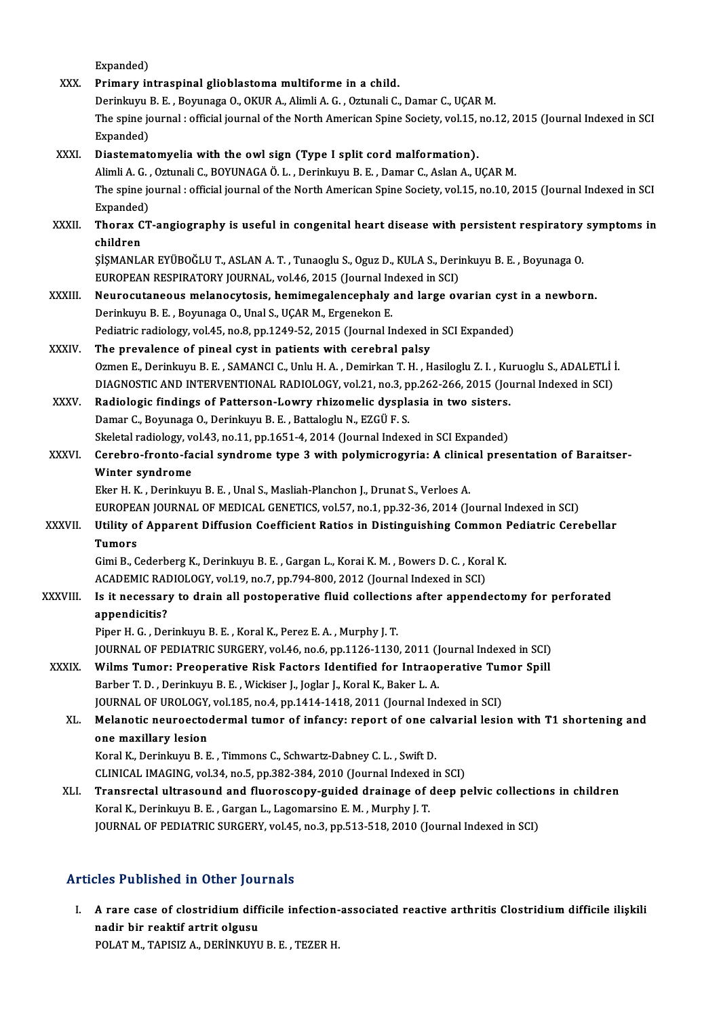|               | Expanded)                                                                                                                          |
|---------------|------------------------------------------------------------------------------------------------------------------------------------|
| XXX.          | Primary intraspinal glioblastoma multiforme in a child.                                                                            |
|               | Derinkuyu B. E., Boyunaga O., OKUR A., Alimli A. G., Oztunali C., Damar C., UÇAR M.                                                |
|               | The spine journal : official journal of the North American Spine Society, vol.15, no.12, 2015 (Journal Indexed in SCI<br>Expanded) |
| XXXI.         | Diastematomyelia with the owl sign (Type I split cord malformation).                                                               |
|               | Alimli A. G., Oztunali C., BOYUNAGA Ö. L., Derinkuyu B. E., Damar C., Aslan A., UÇAR M.                                            |
|               | The spine journal : official journal of the North American Spine Society, vol.15, no.10, 2015 (Journal Indexed in SCI              |
|               | Expanded)                                                                                                                          |
| XXXII.        | Thorax CT-angiography is useful in congenital heart disease with persistent respiratory symptoms in                                |
|               | children                                                                                                                           |
|               | ŞİŞMANLAR EYÜBOĞLU T., ASLAN A. T., Tunaoglu S., Oguz D., KULA S., Derinkuyu B. E., Boyunaga O.                                    |
|               | EUROPEAN RESPIRATORY JOURNAL, vol.46, 2015 (Journal Indexed in SCI)                                                                |
| XXXIII.       | Neurocutaneous melanocytosis, hemimegalencephaly and large ovarian cyst in a newborn.                                              |
|               | Derinkuyu B. E., Boyunaga O., Unal S., UÇAR M., Ergenekon E.                                                                       |
|               | Pediatric radiology, vol.45, no.8, pp.1249-52, 2015 (Journal Indexed in SCI Expanded)                                              |
| <b>XXXIV</b>  | The prevalence of pineal cyst in patients with cerebral palsy                                                                      |
|               | Ozmen E., Derinkuyu B. E., SAMANCI C., Unlu H. A., Demirkan T. H., Hasiloglu Z. I., Kuruoglu S., ADALETLI I.                       |
|               | DIAGNOSTIC AND INTERVENTIONAL RADIOLOGY, vol.21, no.3, pp.262-266, 2015 (Journal Indexed in SCI)                                   |
| <b>XXXV</b>   | Radiologic findings of Patterson-Lowry rhizomelic dysplasia in two sisters.                                                        |
|               | Damar C., Boyunaga O., Derinkuyu B. E., Battaloglu N., EZGÜ F. S.                                                                  |
|               | Skeletal radiology, vol.43, no.11, pp.1651-4, 2014 (Journal Indexed in SCI Expanded)                                               |
| XXXVI.        | Cerebro-fronto-facial syndrome type 3 with polymicrogyria: A clinical presentation of Baraitser-                                   |
|               | Winter syndrome                                                                                                                    |
|               | Eker H. K., Derinkuyu B. E., Unal S., Masliah-Planchon J., Drunat S., Verloes A.                                                   |
|               | EUROPEAN JOURNAL OF MEDICAL GENETICS, vol.57, no.1, pp.32-36, 2014 (Journal Indexed in SCI)                                        |
| <b>XXXVII</b> | Utility of Apparent Diffusion Coefficient Ratios in Distinguishing Common Pediatric Cerebellar<br><b>Tumors</b>                    |
|               | Gimi B., Cederberg K., Derinkuyu B. E., Gargan L., Korai K. M., Bowers D. C., Koral K.                                             |
|               | ACADEMIC RADIOLOGY, vol.19, no.7, pp.794-800, 2012 (Journal Indexed in SCI)                                                        |
| XXXVIII.      | Is it necessary to drain all postoperative fluid collections after appendectomy for perforated                                     |
|               | appendicitis?                                                                                                                      |
|               | Piper H. G., Derinkuyu B. E., Koral K., Perez E. A., Murphy J. T.                                                                  |
|               | JOURNAL OF PEDIATRIC SURGERY, vol.46, no.6, pp.1126-1130, 2011 (Journal Indexed in SCI)                                            |
| XXXIX.        | Wilms Tumor: Preoperative Risk Factors Identified for Intraoperative Tumor Spill                                                   |
|               | Barber T. D., Derinkuyu B. E., Wickiser J., Joglar J., Koral K., Baker L. A.                                                       |
|               | JOURNAL OF UROLOGY, vol.185, no.4, pp.1414-1418, 2011 (Journal Indexed in SCI)                                                     |
| XL.           | Melanotic neuroectodermal tumor of infancy: report of one calvarial lesion with T1 shortening and                                  |
|               | one maxillary lesion                                                                                                               |
|               | Koral K., Derinkuyu B. E., Timmons C., Schwartz-Dabney C. L., Swift D.                                                             |
|               | CLINICAL IMAGING, vol.34, no.5, pp.382-384, 2010 (Journal Indexed in SCI)                                                          |
| XLI.          | Transrectal ultrasound and fluoroscopy-guided drainage of deep pelvic collections in children                                      |
|               | Koral K., Derinkuyu B. E., Gargan L., Lagomarsino E. M., Murphy J. T.                                                              |
|               | JOURNAL OF PEDIATRIC SURGERY, vol.45, no.3, pp.513-518, 2010 (Journal Indexed in SCI)                                              |
|               |                                                                                                                                    |

### Articles Published in Other Journals

I. A rare case of clostridium difficile infection-associated reactive arthritis Clostridium difficile ilişkili<br>I. A rare case of clostridium difficile infection-associated reactive arthritis Clostridium difficile ilişkili n bir reaktif artrit olgusu<br>A rare case of clostridium diff<br>nadir bir reaktif artrit olgusu<br>POLATM TABISIZ A DEBİNIZIVI A rare case of clostridium difficile infection-<br>nadir bir reaktif artrit olgusu<br>POLAT M., TAPISIZ A., DERİNKUYU B. E. , TEZER H.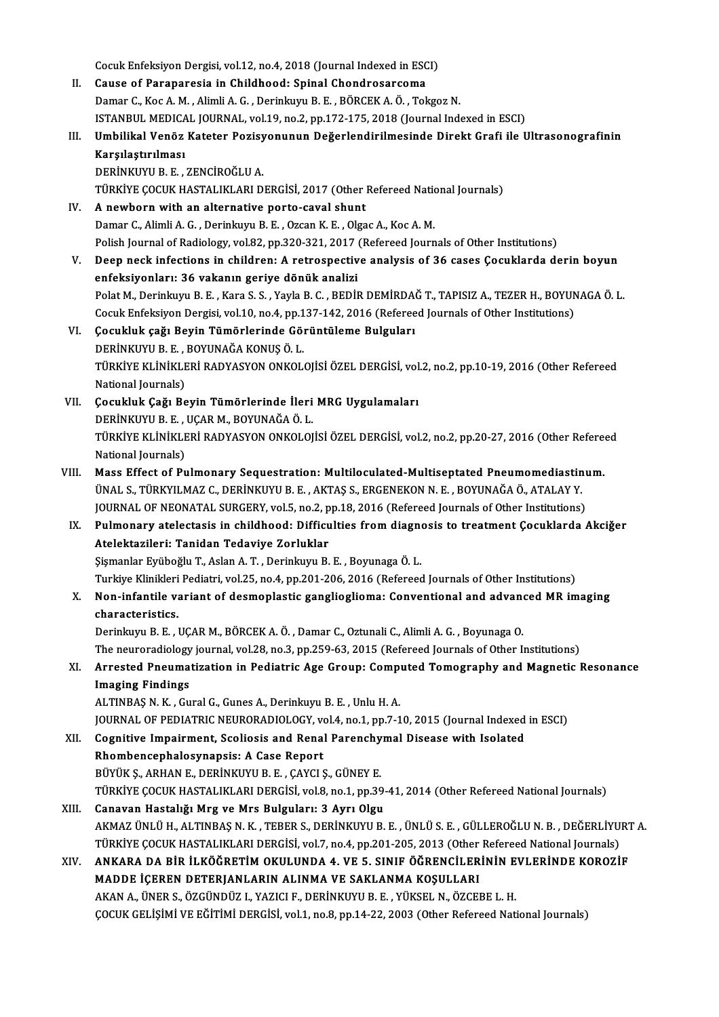Cocuk Enfeksiyon Dergisi, vol.12, no.4, 2018 (Journal Indexed in ESCI)<br>Couse of Perspersesia in Childhood: Spinal Chapdrosansoma Cocuk Enfeksiyon Dergisi, vol.12, no.4, 2018 (Journal Indexed in ESC)<br>II. Cause of Paraparesia in Childhood: Spinal Chondrosarcoma<br>Damar G. Kas A. M., Alimli A. G., Darinlaum B. E., PÖRCEKA Ö., Tol II. Cause of Paraparesia in Childhood: Spinal Chondrosarcoma<br>Damar C., Koc A. M. , Alimli A. G. , Derinkuyu B. E. , BÖRCEK A. Ö. , Tokgoz N. Cause of Paraparesia in Childhood: Spinal Chondrosarcoma<br>Damar C., Koc A. M. , Alimli A. G. , Derinkuyu B. E. , BÖRCEK A. Ö. , Tokgoz N.<br>ISTANBUL MEDICAL JOURNAL, vol.19, no.2, pp.172-175, 2018 (Journal Indexed in ESCI)<br>Um Damar C., Koc A. M. , Alimli A. G. , Derinkuyu B. E. , BÖRCEK A. Ö. , Tokgoz N.<br>ISTANBUL MEDICAL JOURNAL, vol.19, no.2, pp.172-175, 2018 (Journal Indexed in ESCI)<br>III. Umbilikal Venöz Kateter Pozisyonunun Değerlendirilmesi ISTANBUL MEDICA<br>Umbilikal Venöz<br>Karşılaştırılması<br>DEPİNKINILP E Umbilikal Venöz Kateter Pozisy<br>Karşılaştırılması<br>DERİNKUYU B. E. , ZENCİROĞLU A.<br>TÜRKİVE COCUK HASTALIKLARLD Karşılaştırılması<br>DERİNKUYU B. E. , ZENCİROĞLU A.<br>TÜRKİYE ÇOCUK HASTALIKLARI DERGİSİ, 2017 (Other Refereed National Journals)<br>A nayıborn with an altarnatiya narta çayal shunt DERİNKUYU B. E. , ZENCİROĞLU A.<br>TÜRKİYE ÇOCUK HASTALIKLARI DERGİSİ, 2017 (Other Refereed National Shunt<br>IV. A newborn with an alternative porto-caval shunt<br>Damar C., Alimli A. G. , Derinkuyu B. E. , Ozcan K. E. , Olgac TÜRKİYE ÇOCUK HASTALIKLARI DERGİSİ, 2017 (Other Refereed National American Mithelm and alternative porto-caval shunt<br>Damar C., Alimli A. G. , Derinkuyu B. E. , Ozcan K. E. , Olgac A., Koc A. M.<br>Polish Journal of Padialogu, Polish Journal of Radiology, vol.82, pp.320-321, 2017 (Refereed Journals of Other Institutions) V. Deep neck infections in children: A retrospective analysis of 36 cases Çocuklarda derin boyun enfeksiyonları: 36 vakanın geriye dönük analizi Deep neck infections in children: A retrospective analysis of 36 cases Çocuklarda derin boyun<br>enfeksiyonları: 36 vakanın geriye dönük analizi<br>Polat M., Derinkuyu B. E. , Kara S. S. , Yayla B. C. , BEDİR DEMİRDAĞ T., TAPISI enfeksiyonları: 36 vakanın geriye dönük analizi<br>Polat M., Derinkuyu B. E. , Kara S. S. , Yayla B. C. , BEDİR DEMİRDAĞ T., TAPISIZ A., TEZER H., BOYUN<br>Cocuk Enfeksiyon Dergisi, vol.10, no.4, pp.137-142, 2016 (Refereed Journ VI. Çocukluk çağı Beyin Tümörlerinde Görüntüleme Bulguları Cocuk Enfeksiyon Dergisi, vol.10, no.4, pp.137-142, 2016 (Refereed Journals of Other Institutions) TÜRKİYE KLİNİKLERİ RADYASYON ONKOLOJİSİ ÖZEL DERGİSİ, vol.2, no.2, pp.10-19, 2016 (Other Refereed<br>National Journals) DERİNKUYU B. E., BOYUNAĞA KONUŞ Ö. L. TÜRKİYE KLİNİKLERİ RADYASYON ONKOLOJİSİ ÖZEL DERGİSİ, vol<br>National Journals)<br>VII. Cocukluk Çağı Beyin Tümörlerinde İleri MRG Uygulamaları<br>DEPİNKUYU B.E. UÇAR M. BOYUNAĞA Ö. L National Journals)<br>Çocukluk Çağı Beyin Tümörlerinde İleri<br>DERİNKUYU B. E. , UÇAR M., BOYUNAĞA Ö. L.<br>TÜRKİYE KI İNİKI ERİ RADYASYON ONKOLOL Çocukluk Çağı Beyin Tümörlerinde İleri MRG Uygulamaları<br>DERİNKUYU B. E. , UÇAR M., BOYUNAĞA Ö. L.<br>TÜRKİYE KLİNİKLERİ RADYASYON ONKOLOJİSİ ÖZEL DERGİSİ, vol.2, no.2, pp.20-27, 2016 (Other Refereed<br>National Journale) DERİNKUYU B. E. ,<br>TÜRKİYE KLİNİKLE<br>National Journals)<br>Mass Effect of Bu TÜRKİYE KLİNİKLERİ RADYASYON ONKOLOJİSİ ÖZEL DERGİSİ, vol.2, no.2, pp.20-27, 2016 (Other Refere<br>National Journals)<br>VIII. Mass Effect of Pulmonary Sequestration: Multiloculated-Multiseptated Pneumomediastinum.<br>INALS TÜRKVIL National Journals)<br>Mass Effect of Pulmonary Sequestration: Multiloculated-Multiseptated Pneumomediastin<br>ÜNAL S.,TÜRKYILMAZ C., DERİNKUYU B. E. , AKTAŞ S., ERGENEKON N. E. , BOYUNAĞA Ö., ATALAY Y.<br>JOUPNAL OE NEONATAL SURCER Mass Effect of Pulmonary Sequestration: Multiloculated-Multiseptated Pneumomediastinu<br>ÜNAL S., TÜRKYILMAZ C., DERİNKUYU B. E. , AKTAŞ S., ERGENEKON N. E. , BOYUNAĞA Ö., ATALAY Y.<br>JOURNAL OF NEONATAL SURGERY, vol.5, no.2, p UNAL S., TÜRKYILMAZ C., DERINKUYU B. E. , AKTAŞ S., ERGENEKON N. E. , BOYUNAĞA Ö., ATALAY Y.<br>JOURNAL OF NEONATAL SURGERY, vol.5, no.2, pp.18, 2016 (Refereed Journals of Other Institutions)<br>IX. Pulmonary atelectasis in chil JOURNAL OF NEONATAL SURGERY, vol.5, no.2, p<br>Pulmonary atelectasis in childhood: Difficu<br>Atelektazileri: Tanidan Tedaviye Zorluklar<br>Sismonlar Evühoğlu T. Aslan A.T. Derinlayn, P. Pulmonary atelectasis in childhood: Difficulties from diagne<br>Atelektazileri: Tanidan Tedaviye Zorluklar<br>Şişmanlar Eyüboğlu T., Aslan A.T. , Derinkuyu B.E. , Boyunaga Ö.L.<br>Turkiye Klinikleri Bedietri vel 25.ne 4.np 201,206, Atelektazileri: Tanidan Tedaviye Zorluklar<br>Şişmanlar Eyüboğlu T., Aslan A. T. , Derinkuyu B. E. , Boyunaga Ö. L.<br>Turkiye Klinikleri Pediatri, vol.25, no.4, pp.201-206, 2016 (Refereed Journals of Other Institutions)<br>Nen inf Sişmanlar Eyüboğlu T., Aslan A. T. , Derinkuyu B. E. , Boyunaga Ö. L.<br>Turkiye Klinikleri Pediatri, vol.25, no.4, pp.201-206, 2016 (Refereed Journals of Other Institutions)<br>X. Non-infantile variant of desmoplastic gangliogl Turkiye Klinikleri<br>Non-infantile va<br>characteristics. DerinkuyuB.E. ,UÇARM.,BÖRCEKA.Ö. ,Damar C.,OztunaliC.,AlimliA.G. ,BoyunagaO. characteristics.<br>Derinkuyu B. E. , UÇAR M., BÖRCEK A. Ö. , Damar C., Oztunali C., Alimli A. G. , Boyunaga O.<br>The neuroradiology journal, vol.28, no.3, pp.259-63, 2015 (Refereed Journals of Other Institutions)<br>Arrested Prou Derinkuyu B. E. , UÇAR M., BÖRCEK A. Ö. , Damar C., Oztunali C., Alimli A. G. , Boyunaga O.<br>The neuroradiology journal, vol.28, no.3, pp.259-63, 2015 (Refereed Journals of Other Institutions)<br>XI. Arrested Pneumatizatio The neuroradiology<br>Arrested Pneuma<br>Imaging Findings<br>ALTINPAS N.V. Cu Arrested Pneumatization in Pediatric Age Group: Comp<br>Imaging Findings<br>ALTINBAŞ N. K. , Gural G., Gunes A., Derinkuyu B. E. , Unlu H. A.<br>JOUPNAL OF PEDIATRIC NEUROPADIOLOCY vol.4 no.1 nn.7-1 I<mark>maging Findings</mark><br>ALTINBAŞ N. K. , Gural G., Gunes A., Derinkuyu B. E. , Unlu H. A.<br>JOURNAL OF PEDIATRIC NEURORADIOLOGY, vol.4, no.1, pp.7-10, 2015 (Journal Indexed in ESCI)<br>Cognitive Impairment, Seeliesis and Benel Baren ALTINBAŞ N. K., Gural G., Gunes A., Derinkuyu B. E., Unlu H. A.<br>JOURNAL OF PEDIATRIC NEURORADIOLOGY, vol.4, no.1, pp.7-10, 2015 (Journal Indexed<br>XII. Cognitive Impairment, Scoliosis and Renal Parenchymal Disease with Isola **JOURNAL OF PEDIATRIC NEURORADIOLOGY, volution**<br>Cognitive Impairment, Scoliosis and Renal<br>Rhombencephalosynapsis: A Case Report<br>P<sup>rivity S. APHAN E. DEPINKIWUP E. CAVCLS</sup> XII. Cognitive Impairment, Scoliosis and Renal Parenchymal Disease with Isolated<br>Rhombencephalosynapsis: A Case Report<br>BÜYÜK Ş., ARHAN E., DERİNKUYU B. E. , ÇAYCI Ş., GÜNEY E. TÜRKİYE ÇOCUK HASTALIKLARI DERGİSİ, vol.8, no.1, pp.39-41, 2014 (Other Refereed National Journals) XIII. Canavan Hastalığı Mrg ve Mrs Bulguları: 3 Ayrı Olgu TÜRKİYE ÇOCUK HASTALIKLARI DERGİSİ, vol.8, no.1, pp.39-41, 2014 (Other Refereed National Journals)<br>Canavan Hastalığı Mrg ve Mrs Bulguları: 3 Ayrı Olgu<br>AKMAZ ÜNLÜ H., ALTINBAŞ N. K. , TEBER S., DERİNKUYU B. E. , ÜNLÜ S. E. Canavan Hastalığı Mrg ve Mrs Bulguları: 3 Ayrı Olgu<br>AKMAZ ÜNLÜ H., ALTINBAŞ N. K. , TEBER S., DERİNKUYU B. E. , ÜNLÜ S. E. , GÜLLEROĞLU N. B. , DEĞERLİYU!<br>TÜRKİYE ÇOCUK HASTALIKLARI DERGİSİ, vol.7, no.4, pp.201-205, 2013 ( AKMAZ ÜNLÜ H., ALTINBAŞ N. K. , TEBER S., DERİNKUYU B. E. , ÜNLÜ S. E. , GÜLLEROĞLU N. B. , DEĞERLİYURT TÜRKİYE ÇOCUK HASTALIKLARI DERGİSİ, vol.7, no.4, pp.201-205, 2013 (Other Refereed National Journals)<br>XIV. ANKARA D TÜRKİYE ÇOCUK HASTALIKLARI DERGİSİ, vol.7, no.4, pp.201-205, 2013 (Other Refereed National Journals)<br>ANKARA DA BİR İLKÖĞRETİM OKULUNDA 4. VE 5. SINIF ÖĞRENCİLERİNİN EVLERİNDE KOROZİ<br>MADDE İÇEREN DETERJANLARIN ALINMA VE SAK ANKARA DA BİR İLKÖĞRETİM OKULUNDA 4. VE 5. SINIF ÖĞRENCİLERİNIN EVLERİNDE KOROZİF ÇOCUK GELİŞİMİ VE EĞİTİMİ DERGİSİ, vol.1, no.8, pp.14-22, 2003 (Other Refereed National Journals)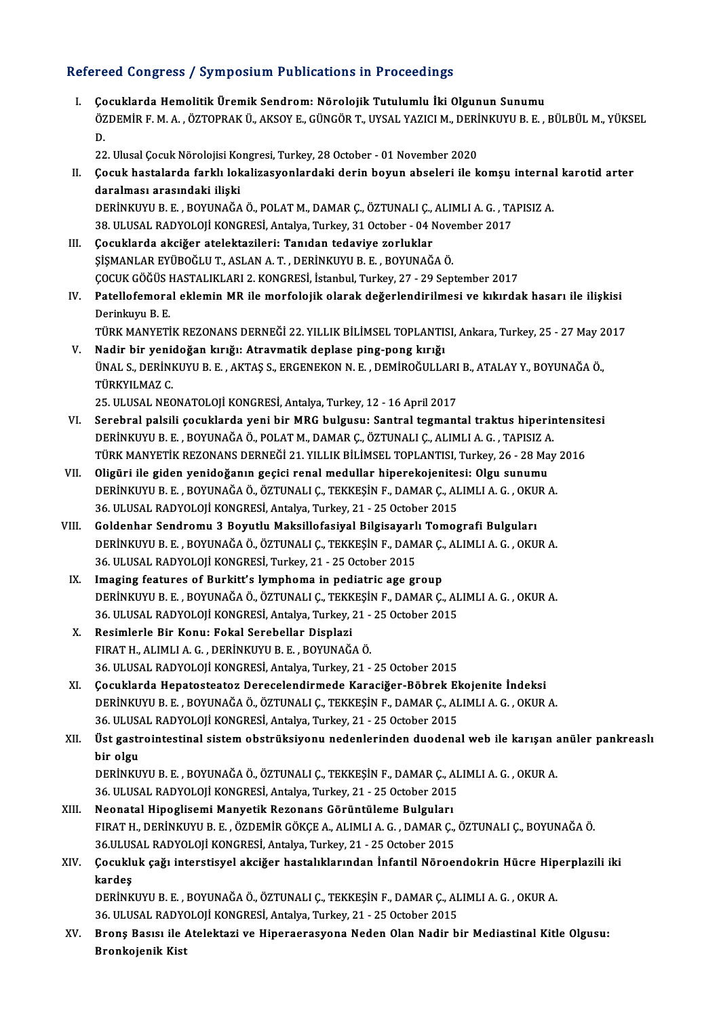### Refereed Congress / Symposium Publications in Proceedings

I. Çocuklarda Hemolitik Üremik Sendrom: Nörolojik Tutulumlu İki Olgunun Sunumu TÖÖL ÖÖNETÖST, STILPOSTANI I ASNOALISIN III I TÖÖÖÖNIRGÖ<br>Çocuklarda Hemolitik Üremik Sendrom: Nörolojik Tutulumlu İki Olgunun Sunumu<br>ÖZDEMİR F. M. A., ÖZTOPRAK Ü., AKSOY E., GÜNGÖR T., UYSAL YAZICI M., DERİNKUYU B. E. , BÜ Co<br>ÖZ<br>22 ÖZDEMİR F. M. A. , ÖZTOPRAK Ü., AKSOY E., GÜNGÖR T., UYSAL YAZICI M., DERİ<br>D.<br>22. Ulusal Çocuk Nörolojisi Kongresi, Turkey, 28 October - 01 November 2020<br>Cosuk hastalarda farklı lakalizesyanlardaki darin bayun absalari ile

D.<br>22. Ulusal Çocuk Nörolojisi Kongresi, Turkey, 28 October - 01 November 2020<br>II. Çocuk hastalarda farklı lokalizasyonlardaki derin boyun abseleri ile komşu internal karotid arter<br>daralması arasındaki ilişki 22. Ulusal Çocuk Nörolojisi Ko<br>Çocuk hastalarda farklı lok<br>daralması arasındaki ilişki<br>DEPİNKIWU B. E. POVUNAČA Çocuk hastalarda farklı lokalizasyonlardaki derin boyun abseleri ile komşu interna<br>daralması arasındaki ilişki<br>DERİNKUYU B.E., BOYUNAĞA Ö., POLAT M., DAMAR Ç., ÖZTUNALI Ç., ALIMLI A. G. , TAPISIZ A.<br>28. ULUSAL BADYOLOU KON

```
daralması arasındaki ilişki<br>DERİNKUYU B. E. , BOYUNAĞA Ö., POLAT M., DAMAR Ç., ÖZTUNALI Ç., ALIMLI A. G. , TA<br>38. ULUSAL RADYOLOJİ KONGRESİ, Antalya, Turkey, 31 October - 04 November 2017<br>Cesuklarda aksiğen atalektarileri:
DERİNKUYU B. E. , BOYUNAĞA Ö., POLAT M., DAMAR Ç., ÖZTUNALI Ç.,<br>38. ULUSAL RADYOLOJİ KONGRESİ, Antalya, Turkey, 31 October - 04 N.<br>III. Cocuklarda akciğer atelektazileri: Tanıdan tedaviye zorluklar<br>SİSMANI AR EVÜROĞLU T. A
```
- 38. ULUSAL RADYOLOJİ KONGRESİ, Antalya, Turkey, 31 October 04 Nove<br>Çocuklarda akciğer atelektazileri: Tanıdan tedaviye zorluklar<br>ŞİŞMANLAR EYÜBOĞLU T., ASLAN A.T. , DERİNKUYU B. E. , BOYUNAĞA Ö.<br>COCUK GÖĞÜS HASTALIKLARL2 ŞİŞMANLAR EYÜBOĞLU T., ASLAN A. T. , DERİNKUYU B. E. , BOYUNAĞA Ö.<br>ÇOCUK GÖĞÜS HASTALIKLARI 2. KONGRESİ, İstanbul, Turkey, 27 - 29 September 2017 ŞİŞMANLAR EYÜBOĞLU T., ASLAN A. T. , DERİNKUYU B. E. , BOYUNAĞA Ö.<br>ÇOCUK GÖĞÜS HASTALIKLARI 2. KONGRESİ, İstanbul, Turkey, 27 - 29 September 2017<br>IV. Patellofemoral eklemin MR ile morfolojik olarak değerlendirilmesi ve
- ÇOCUK GÖĞÜS I<br><mark>Patellofemora</mark><br>Derinkuyu B. E.<br>Tüp*v* MANVETİ Patellofemoral eklemin MR ile morfolojik olarak değerlendirilmesi ve kıkırdak hasarı ile ilişkisi<br>Derinkuyu B. E.<br>TÜRK MANYETİK REZONANS DERNEĞİ 22. YILLIK BİLİMSEL TOPLANTISI, Ankara, Turkey, 25 - 27 May 2017<br>Nadir bir ve
- Derinkuyu B. E.<br>TÜRK MANYETİK REZONANS DERNEĞİ 22. YILLIK BİLİMSEL TOPLANTI:<br>V. Nadir bir yenidoğan kırığı: Atravmatik deplase ping-pong kırığı<br>UNALS DEPİNKUYU B. E. AKTASS ERCENEKON N. E. DEMİROĞULLA TÜRK MANYETİK REZONANS DERNEĞİ 22. YILLIK BİLİMSEL TOPLANTISI, Ankara, Turkey, 25 - 27 May 2017<br>Nadir bir yenidoğan kırığı: Atravmatik deplase ping-pong kırığı<br>ÜNAL S., DERİNKUYU B. E. , AKTAŞ S., ERGENEKON N. E. , DEMİROĞ Nadir bir yeni<br>ÜNAL S., DERİNI<br>TÜRKYILMAZ C.<br>25. III USAL NEC 25.ULUSALNEONATOLOJİKONGRESİ,Antalya,Turkey,12 -16April2017

VI. Serebral palsili çocuklarda yeni bir MRG bulgusu: Santral tegmantal traktus hiperintensitesi DERİNKUYUB.E. ,BOYUNAĞAÖ.,POLATM.,DAMARÇ.,ÖZTUNALIÇ.,ALIMLIA.G. ,TAPISIZA. Serebral palsili çocuklarda yeni bir MRG bulgusu: Santral tegmantal traktus hiperintensit<br>DERİNKUYU B. E. , BOYUNAĞA Ö., POLAT M., DAMAR Ç., ÖZTUNALI Ç., ALIMLI A. G. , TAPISIZ A.<br>TÜRK MANYETİK REZONANS DERNEĞİ 21. YILLIK DERİNKUYU B. E., BOYUNAĞA Ö., POLAT M., DAMAR Ç., ÖZTUNALI Ç., ALIMLI A. G., TAPISIZ A<br>TÜRK MANYETİK REZONANS DERNEĞİ 21. YILLIK BİLİMSEL TOPLANTISI, Turkey, 26 - 28 Ma<br>VII. Oligüri ile giden yenidoğanın geçici renal medul

- TÜRK MANYETİK REZONANS DERNEĞİ 21. YILLIK BİLİMSEL TOPLANTISI, Turkey, 26 28 May<br>Oligüri ile giden yenidoğanın geçici renal medullar hiperekojenitesi: Olgu sunumu<br>DERİNKUYU B. E. , BOYUNAĞA Ö., ÖZTUNALI Ç., TEKKEŞİN F., VII. Oligüri ile giden yenidoğanın geçici renal medullar hiperekojenitesi: Olgu sunumu<br>DERİNKUYU B. E., BOYUNAĞA Ö., ÖZTUNALI Ç., TEKKEŞİN F., DAMAR Ç., ALIMLI A. G., OKUR A.<br>36. ULUSAL RADYOLOJİ KONGRESİ, Antalya, Turkey,
- VIII. Goldenhar Sendromu 3 Boyutlu Maksillofasiyal Bilgisayarlı Tomografi Bulguları 36. ULUSAL RADYOLOJİ KONGRESİ, Antalya, Turkey, 21 - 25 October 2015<br>Goldenhar Sendromu 3 Boyutlu Maksillofasiyal Bilgisayarlı Tomografi Bulguları<br>DERİNKUYU B. E. , BOYUNAĞA Ö., ÖZTUNALI Ç., TEKKEŞİN F., DAMAR Ç., ALIMLI A 36. ULUSAL RADYOLOJİ KONGRESİ, Turkey, 21 - 25 October 2015<br>IX. Imaging features of Burkitt's lymphoma in pediatric age group DERİNKUYU B. E., BOYUNAĞA Ö., ÖZTUNALI Ç., TEKKEŞİN F., DAMAR Ç.,<br>36. ULUSAL RADYOLOJİ KONGRESİ, Turkey, 21 - 25 October 2015<br>IX. Imaging features of Burkitt's lymphoma in pediatric age group<br>DERİNKIYULE E. BOYUNAĞA Ö. ÖZT
	- 36. ULUSAL RADYOLOJİ KONGRESİ, Turkey, 21 25 October 2015<br>Imaging features of Burkitt's lymphoma in pediatric age group<br>DERİNKUYU B. E. , BOYUNAĞA Ö., ÖZTUNALI Ç., TEKKEŞİN F., DAMAR Ç., ALIMLI A. G. , OKUR A.<br>26. ULUSAL Imaging features of Burkitt's lymphoma in pediatric age group<br>DERİNKUYU B. E. , BOYUNAĞA Ö., ÖZTUNALI Ç., TEKKEŞİN F., DAMAR Ç., AL<br>36. ULUSAL RADYOLOJİ KONGRESİ, Antalya, Turkey, 21 - 25 October 2015<br>Bosimlarla Bir Konu: 36. ULUSAL RADYOLOJİ KONGRESİ, Antalya, Turkey, 21 - 25 October 2015
	- X. Resimlerle Bir Konu: Fokal Serebellar Displazi<br>FIRAT H., ALIMLI A. G., DERINKUYU B. E., BOYUNAĞA Ö. 36.ULUSALRADYOLOJİKONGRESİ,Antalya,Turkey,21 -25October 2015
	- XI. Çocuklarda Hepatosteatoz Derecelendirmede Karaciğer-Böbrek Ekojenite İndeksi DERİNKUYUB.E. ,BOYUNAĞAÖ.,ÖZTUNALIÇ.,TEKKEŞİNF.,DAMARÇ.,ALIMLIA.G. ,OKURA. Çocuklarda Hepatosteatoz Derecelendirmede Karaciğer-Böbrek El<br>DERİNKUYU B. E. , BOYUNAĞA Ö., ÖZTUNALI Ç., TEKKEŞİN F., DAMAR Ç., AL<br>36. ULUSAL RADYOLOJİ KONGRESİ, Antalya, Turkey, 21 - 25 October 2015<br>Üst gestreintestinal
- XII. Üst gastrointestinal sistem obstrüksiyonu nedenlerinden duodenal web ile karışan anüler pankreaslı<br>bir olgu 36. ULUSA<br>Üst gastr<br>bir olgu<br>DERİNKU Üst gastrointestinal sistem obstrüksiyonu nedenlerinden duodenal web ile karışan a<br>bir olgu<br>DERİNKUYU B.E. , BOYUNAĞA Ö., ÖZTUNALI Ç., TEKKEŞİN F., DAMAR Ç., ALIMLI A. G. , OKUR A.<br>26 HUJISAL RADYOLOU KONCRESİ Antalya Turk bir olgu<br>DERİNKUYU B. E. , BOYUNAĞA Ö., ÖZTUNALI Ç., TEKKEŞİN F., DAMAR Ç., AL<br>36. ULUSAL RADYOLOJİ KONGRESİ, Antalya, Turkey, 21 - 25 October 2015<br>Neanatal Hinoglisami Manyatik Baranana Gönüntüleme Bulgulanı

- DERİNKUYU B. E. , BOYUNAĞA Ö., ÖZTUNALI Ç., TEKKEŞİN F., DAMAR Ç., A<br>36. ULUSAL RADYOLOJİ KONGRESİ, Antalya, Turkey, 21 25 October 2015<br>XIII. Neonatal Hipoglisemi Manyetik Rezonans Görüntüleme Bulguları<br>EUDAT H. DERİNKUY 36. ULUSAL RADYOLOJİ KONGRESİ, Antalya, Turkey, 21 - 25 October 2015<br>Neonatal Hipoglisemi Manyetik Rezonans Görüntüleme Bulguları<br>FIRAT H., DERİNKUYU B. E. , ÖZDEMİR GÖKÇE A., ALIMLI A. G. , DAMAR Ç., ÖZTUNALI Ç., BOYUNAĞA Neonatal Hipoglisemi Manyetik Rezonans Görüntüleme Bulguları<br>FIRAT H., DERİNKUYU B. E. , ÖZDEMİR GÖKÇE A., ALIMLI A. G. , DAMAR Ç.,<br>36.ULUSAL RADYOLOJİ KONGRESİ, Antalya, Turkey, 21 - 25 October 2015<br>Cosukluk sağı intersti FIRAT H., DERİNKUYU B. E. , ÖZDEMİR GÖKÇE A., ALIMLI A. G. , DAMAR Ç., ÖZTUNALI Ç., BOYUNAĞA Ö.<br>36.ULUSAL RADYOLOJİ KONGRESİ, Antalya, Turkey, 21 - 25 October 2015<br>XIV. Çocukluk çağı interstisyel akciğer hastalıklarınd
- 36.ULUS<br>Çocuklı<br>kardeş<br>DERİNK Çocukluk çağı interstisyel akciğer hastalıklarından İnfantil Nöroendokrin Hücre Hip<br>kardeş<br>DERİNKUYU B.E. , BOYUNAĞA Ö., ÖZTUNALI Ç., TEKKEŞİN F., DAMAR Ç., ALIMLI A. G. , OKUR A.<br>26 HI USAL RADYOLOU KONCRESL Antalya Turka kardeş<br>DERİNKUYU B. E. , BOYUNAĞA Ö., ÖZTUNALI Ç., TEKKEŞİN F., DAMAR Ç., ALIMLI A. G. , OKUR A.<br>36. ULUSAL RADYOLOJİ KONGRESİ, Antalya, Turkey, 21 - 25 October 2015

DERİNKUYU B. E. , BOYUNAĞA Ö., ÖZTUNALI Ç., TEKKEŞİN F., DAMAR Ç., ALIMLI A. G. , OKUR A.<br>36. ULUSAL RADYOLOJİ KONGRESİ, Antalya, Turkey, 21 - 25 October 2015<br>XV. Bronş Basısı ile Atelektazi ve Hiperaerasyona Neden Ola 36. ULUSAL RADY(<br>Bronş Basısı ile<br>Bronkojenik Kist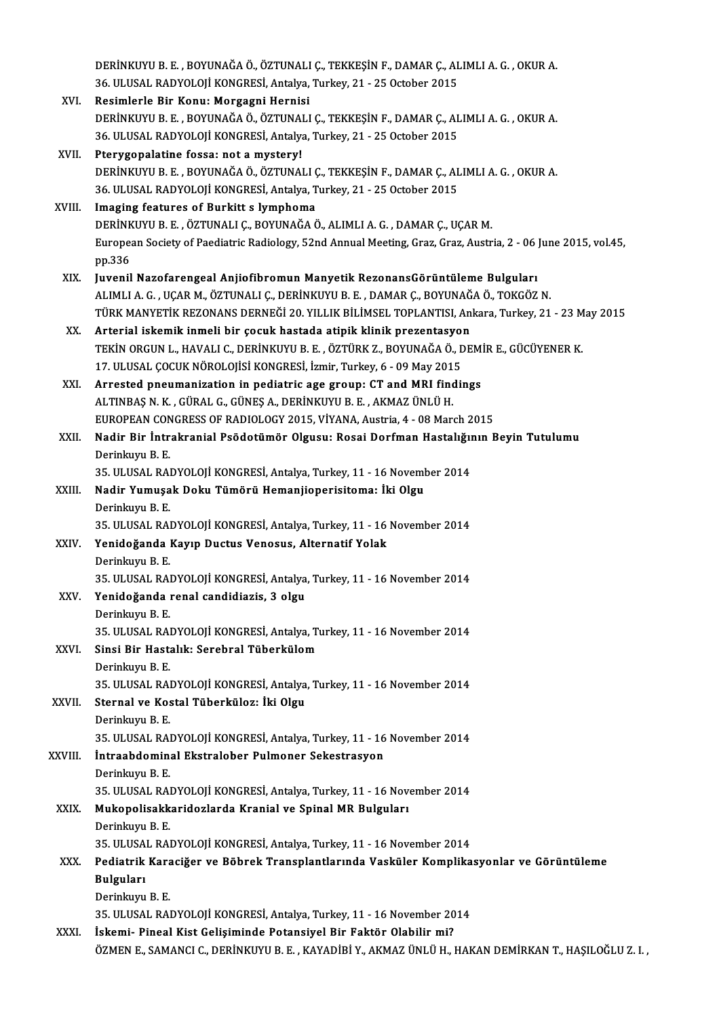|             | DERINKUYU B. E., BOYUNAĞA Ö., ÖZTUNALI Ç., TEKKEŞİN F., DAMAR Ç., ALIMLI A. G., OKUR A.                       |
|-------------|---------------------------------------------------------------------------------------------------------------|
|             | 36. ULUSAL RADYOLOJİ KONGRESİ, Antalya, Turkey, 21 - 25 October 2015                                          |
| XVI.        | Resimlerle Bir Konu: Morgagni Hernisi                                                                         |
|             | DERİNKUYU B. E., BOYUNAĞA Ö., ÖZTUNALI Ç., TEKKEŞİN F., DAMAR Ç., ALIMLI A. G., OKUR A.                       |
|             | 36. ULUSAL RADYOLOJİ KONGRESİ, Antalya, Turkey, 21 - 25 October 2015                                          |
| XVII.       | Pterygopalatine fossa: not a mystery!                                                                         |
|             | DERİNKUYU B. E., BOYUNAĞA Ö., ÖZTUNALI Ç., TEKKEŞİN F., DAMAR Ç., ALIMLI A. G., OKUR A.                       |
|             | 36. ULUSAL RADYOLOJİ KONGRESİ, Antalya, Turkey, 21 - 25 October 2015                                          |
| XVIII.      | Imaging features of Burkitt s lymphoma                                                                        |
|             | DERİNKUYU B. E., ÖZTUNALI Ç., BOYUNAĞA Ö., ALIMLI A. G., DAMAR Ç., UÇAR M.                                    |
|             | European Society of Paediatric Radiology, 52nd Annual Meeting, Graz, Graz, Austria, 2 - 06 June 2015, vol.45, |
|             | pp 336                                                                                                        |
| XIX.        | Juvenil Nazofarengeal Anjiofibromun Manyetik RezonansGörüntüleme Bulguları                                    |
|             | ALIMLI A. G., UÇAR M., ÖZTUNALI Ç., DERİNKUYU B. E., DAMAR Ç., BOYUNAĞA Ö., TOKGÖZ N.                         |
|             | TÜRK MANYETİK REZONANS DERNEĞİ 20. YILLIK BİLİMSEL TOPLANTISI, Ankara, Turkey, 21 - 23 May 2015               |
| XX.         | Arterial iskemik inmeli bir çocuk hastada atipik klinik prezentasyon                                          |
|             | TEKİN ORGUN L., HAVALI C., DERİNKUYU B. E., ÖZTÜRK Z., BOYUNAĞA Ö., DEMİR E., GÜCÜYENER K.                    |
|             | 17. ULUSAL ÇOCUK NÖROLOJİSİ KONGRESİ, İzmir, Turkey, 6 - 09 May 2015                                          |
| XXI.        | Arrested pneumanization in pediatric age group: CT and MRI findings                                           |
|             | ALTINBAŞ N. K., GÜRAL G., GÜNEŞ A., DERİNKUYU B. E., AKMAZ ÜNLÜ H.                                            |
|             | EUROPEAN CONGRESS OF RADIOLOGY 2015, VİYANA, Austria, 4 - 08 March 2015                                       |
| XXII.       | Nadir Bir İntrakranial Psödotümör Olgusu: Rosai Dorfman Hastalığının Beyin Tutulumu                           |
|             | Derinkuyu B.E.                                                                                                |
|             | 35. ULUSAL RADYOLOJİ KONGRESİ, Antalya, Turkey, 11 - 16 November 2014                                         |
| XXIII.      | Nadir Yumuşak Doku Tümörü Hemanjioperisitoma: İki Olgu                                                        |
|             | Derinkuyu B.E.                                                                                                |
|             | 35. ULUSAL RADYOLOJİ KONGRESİ, Antalya, Turkey, 11 - 16 November 2014                                         |
| XXIV.       | Yenidoğanda Kayıp Ductus Venosus, Alternatif Yolak                                                            |
|             | Derinkuvu B. E.                                                                                               |
|             | 35. ULUSAL RADYOLOJİ KONGRESİ, Antalya, Turkey, 11 - 16 November 2014                                         |
| XXV         | Yenidoğanda renal candidiazis, 3 olgu                                                                         |
|             | Derinkuyu B.E.                                                                                                |
|             | 35. ULUSAL RADYOLOJİ KONGRESİ, Antalya, Turkey, 11 - 16 November 2014                                         |
| XXVI.       | Sinsi Bir Hastalık: Serebral Tüberkülom                                                                       |
|             | Derinkuyu B E                                                                                                 |
|             | 35. ULUSAL RADYOLOJİ KONGRESİ, Antalya, Turkey, 11 - 16 November 2014                                         |
| XXVII.      | Sternal ve Kostal Tüberküloz: İki Olgu                                                                        |
|             | Derinkuyu B.E.                                                                                                |
|             | 35. ULUSAL RADYOLOJİ KONGRESİ, Antalya, Turkey, 11 - 16 November 2014                                         |
| XXVIII.     | İntraabdominal Ekstralober Pulmoner Sekestrasyon                                                              |
|             | Derinkuyu B.E.                                                                                                |
|             | 35. ULUSAL RADYOLOJİ KONGRESİ, Antalya, Turkey, 11 - 16 November 2014                                         |
| XXIX.       | Mukopolisakkaridozlarda Kranial ve Spinal MR Bulguları                                                        |
|             | Derinkuyu B E                                                                                                 |
|             | 35. ULUSAL RADYOLOJİ KONGRESİ, Antalya, Turkey, 11 - 16 November 2014                                         |
| XXX.        | Pediatrik Karaciğer ve Böbrek Transplantlarında Vasküler Komplikasyonlar ve Görüntüleme                       |
|             | <b>Bulguları</b>                                                                                              |
|             | Derinkuyu B.E.                                                                                                |
|             | 35. ULUSAL RADYOLOJİ KONGRESİ, Antalya, Turkey, 11 - 16 November 2014                                         |
| <b>XXXI</b> | İskemi- Pineal Kist Gelişiminde Potansiyel Bir Faktör Olabilir mi?                                            |
|             | ÖZMEN E., SAMANCI C., DERİNKUYU B. E. , KAYADİBİ Y., AKMAZ ÜNLÜ H., HAKAN DEMİRKAN T., HAŞILOĞLU Z. I. ,      |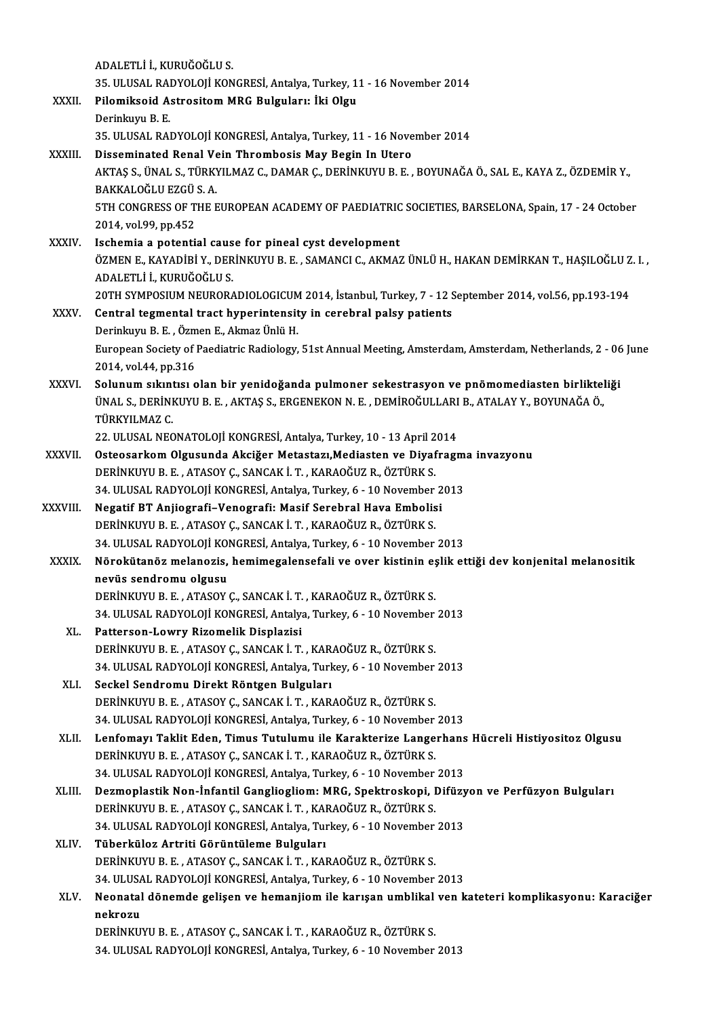|              | ADALETLİ İ., KURUĞOĞLU S.                                                                                                                |
|--------------|------------------------------------------------------------------------------------------------------------------------------------------|
|              | 35. ULUSAL RADYOLOJİ KONGRESİ, Antalya, Turkey, 11 - 16 November 2014                                                                    |
| XXXII.       | Pilomiksoid Astrositom MRG Bulguları: İki Olgu                                                                                           |
|              | Derinkuyu B E                                                                                                                            |
|              | 35. ULUSAL RADYOLOJİ KONGRESİ, Antalya, Turkey, 11 - 16 November 2014                                                                    |
| XXXIII.      | Disseminated Renal Vein Thrombosis May Begin In Utero                                                                                    |
|              | AKTAŞ S., ÜNAL S., TÜRKYILMAZ C., DAMAR Ç., DERİNKUYU B. E., BOYUNAĞA Ö., SAL E., KAYA Z., ÖZDEMİR Y.,                                   |
|              | BAKKALOĞLU EZGÜ S.A.                                                                                                                     |
|              | 5TH CONGRESS OF THE EUROPEAN ACADEMY OF PAEDIATRIC SOCIETIES, BARSELONA, Spain, 17 - 24 October                                          |
|              | 2014, vol 99, pp 452                                                                                                                     |
| <b>XXXIV</b> | Ischemia a potential cause for pineal cyst development                                                                                   |
|              | ÖZMEN E., KAYADİBİ Y., DERİNKUYU B. E., SAMANCI C., AKMAZ ÜNLÜ H., HAKAN DEMİRKAN T., HAŞILOĞLU Z. I.,                                   |
|              | ADALETLİ İ., KURUĞOĞLU S.                                                                                                                |
|              | 20TH SYMPOSIUM NEURORADIOLOGICUM 2014, İstanbul, Turkey, 7 - 12 September 2014, vol.56, pp.193-194                                       |
| XXXV         | Central tegmental tract hyperintensity in cerebral palsy patients                                                                        |
|              | Derinkuyu B. E., Özmen E., Akmaz Ünlü H.                                                                                                 |
|              | European Society of Paediatric Radiology, 51st Annual Meeting, Amsterdam, Amsterdam, Netherlands, 2 - 06 June                            |
|              | 2014, vol 44, pp.316                                                                                                                     |
| XXXVI.       | Solunum sıkıntısı olan bir yenidoğanda pulmoner sekestrasyon ve pnömomediasten birlikteliği                                              |
|              | ÜNAL S., DERİNKUYU B. E., AKTAŞ S., ERGENEKON N. E., DEMİROĞULLARI B., ATALAY Y., BOYUNAĞA Ö.,                                           |
|              | TÜRKYILMAZ C                                                                                                                             |
|              | 22. ULUSAL NEONATOLOJİ KONGRESİ, Antalya, Turkey, 10 - 13 April 2014                                                                     |
| XXXVII.      | Osteosarkom Olgusunda Akciğer Metastazı, Mediasten ve Diyafragma invazyonu                                                               |
|              | DERİNKUYU B. E., ATASOY Ç., SANCAK İ. T., KARAOĞUZ R., ÖZTÜRK S.<br>34. ULUSAL RADYOLOJİ KONGRESİ, Antalya, Turkey, 6 - 10 November 2013 |
| XXXVIII.     | Negatif BT Anjiografi-Venografi: Masif Serebral Hava Embolisi                                                                            |
|              | DERİNKUYU B. E., ATASOY Ç., SANCAK İ. T., KARAOĞUZ R., ÖZTÜRK S.                                                                         |
|              | 34. ULUSAL RADYOLOJİ KONGRESİ, Antalya, Turkey, 6 - 10 November 2013                                                                     |
| <b>XXXIX</b> | Nörokütanöz melanozis, hemimegalensefali ve over kistinin eşlik ettiği dev konjenital melanositik                                        |
|              | nevüs sendromu olgusu                                                                                                                    |
|              | DERİNKUYU B. E., ATASOY Ç., SANCAK İ. T., KARAOĞUZ R., ÖZTÜRK S.                                                                         |
|              | 34. ULUSAL RADYOLOJİ KONGRESİ, Antalya, Turkey, 6 - 10 November 2013                                                                     |
| XL.          | Patterson-Lowry Rizomelik Displazisi                                                                                                     |
|              | DERİNKUYU B. E., ATASOY Ç., SANCAK İ. T., KARAOĞUZ R., ÖZTÜRK S.                                                                         |
|              | 34. ULUSAL RADYOLOJİ KONGRESİ, Antalya, Turkey, 6 - 10 November 2013                                                                     |
| XLI.         | Seckel Sendromu Direkt Röntgen Bulguları                                                                                                 |
|              | DERİNKUYU B. E., ATASOY Ç., SANCAK İ. T., KARAOĞUZ R., ÖZTÜRK S.                                                                         |
|              | 34. ULUSAL RADYOLOJİ KONGRESİ, Antalya, Turkey, 6 - 10 November 2013                                                                     |
| XLII.        | Lenfomayı Taklit Eden, Timus Tutulumu ile Karakterize Langerhans Hücreli Histiyositoz Olgusu                                             |
|              | DERİNKUYU B. E., ATASOY Ç., SANCAK İ. T., KARAOĞUZ R., ÖZTÜRK S.                                                                         |
|              | 34. ULUSAL RADYOLOJİ KONGRESİ, Antalya, Turkey, 6 - 10 November 2013                                                                     |
| XLIII.       | Dezmoplastik Non-İnfantil Gangliogliom: MRG, Spektroskopi, Difüzyon ve Perfüzyon Bulguları                                               |
|              | DERİNKUYU B. E., ATASOY Ç., SANCAK İ. T., KARAOĞUZ R., ÖZTÜRK S.                                                                         |
|              | 34. ULUSAL RADYOLOJİ KONGRESİ, Antalya, Turkey, 6 - 10 November 2013                                                                     |
| XLIV.        | Tüberküloz Artriti Görüntüleme Bulguları<br>DERİNKUYU B. E., ATASOY Ç., SANCAK İ. T., KARAOĞUZ R., ÖZTÜRK S.                             |
|              | 34. ULUSAL RADYOLOJİ KONGRESİ, Antalya, Turkey, 6 - 10 November 2013                                                                     |
| XLV.         | Neonatal dönemde gelişen ve hemanjiom ile karışan umblikal ven kateteri komplikasyonu: Karaciğer                                         |
|              | nekrozu                                                                                                                                  |
|              | DERİNKUYU B. E., ATASOY Ç., SANCAK İ. T., KARAOĞUZ R., ÖZTÜRK S.                                                                         |
|              | 34. ULUSAL RADYOLOJİ KONGRESİ, Antalya, Turkey, 6 - 10 November 2013                                                                     |
|              |                                                                                                                                          |